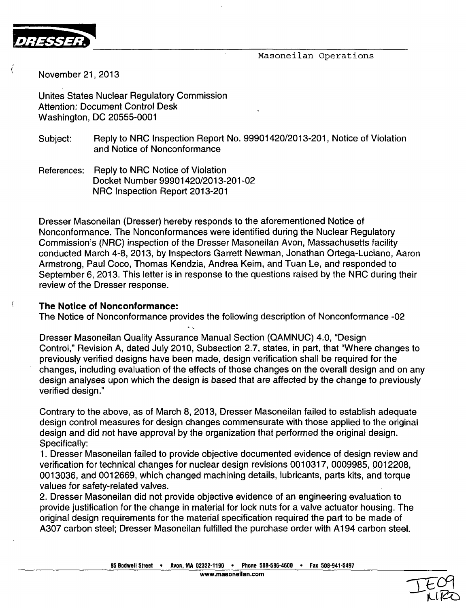Masoneilan Operations



November 21, 2013

Unites States Nuclear Regulatory Commission Attention: Document Control Desk Washington, DC 20555-0001

- Subject: Reply to NRC Inspection Report No. 99901420/2013-201, Notice of Violation and Notice of Nonconformance
- References: Reply to NRC Notice of Violation Docket Number 99901420/2013-201-02 NRC Inspection Report 2013-201

Dresser Masoneilan (Dresser) hereby responds to the aforementioned Notice of Nonconformance. The Nonconformances were identified during the Nuclear Regulatory Commission's (NRC) inspection of the Dresser Masoneilan Avon, Massachusetts facility conducted March 4-8, 2013, by Inspectors Garrett Newman, Jonathan Ortega-Luciano, Aaron Armstrong, Paul Coco, Thomas Kendzia, Andrea Keim, and Tuan Le, and responded to September 6, 2013. This letter is in response to the questions raised by the NRC during their review of the Dresser response.

## The Notice of Nonconformance:

The Notice of Nonconformance provides the following description of Nonconformance -02

Dresser Masoneilan Quality Assurance Manual Section (QAMNUC) 4.0, "Design Control," Revision A, dated July 2010, Subsection 2.7, states, in part, that "Where changes to previously verified designs have been made, design verification shall be required for the changes, including evaluation of the effects of those changes on the overall design and on any design analyses upon which the design is based that are affected by the change to previously verified design."

Contrary to the above, as of March 8, 2013, Dresser Masoneilan failed to establish adequate design control measures for design changes commensurate with those applied to the original design and did not have approval by the organization that performed the original design. Specifically:

1. Dresser Masoneilan failed to provide objective documented evidence of design review and verification for technical changes for nuclear design revisions 0010317, 0009985, 0012208, 0013036, and 0012669, which changed machining details, lubricants, parts kits, and torque values for safety-related valves.

2. Dresser Masoneilan did not provide objective evidence of an engineering evaluation to provide justification for the change in material for lock nuts for a valve actuator housing. The original design requirements for the material specification required the part to be made of A307 carbon steel; Dresser Masoneilan fulfilled the purchase order with A194 carbon steel.